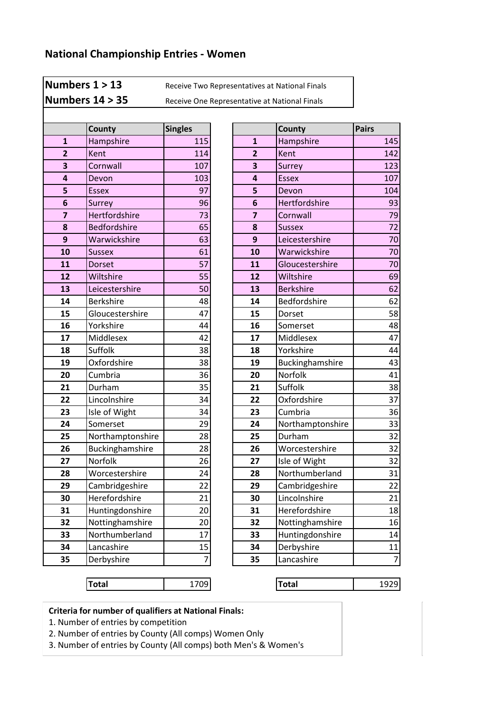**Numbers 1 > 13** Receive Two Representatives at National Finals

**Numbers 14 > 35** Receive One Representative at National Finals

|                         | County           | <b>Singles</b> |                | <b>County</b>    | <b>Pairs</b> |
|-------------------------|------------------|----------------|----------------|------------------|--------------|
| $\mathbf{1}$            | Hampshire        | 115            | $\mathbf{1}$   | Hampshire        | 145          |
| $\overline{2}$          | Kent             | 114            | $\overline{2}$ | Kent             | 142          |
| $\overline{\mathbf{3}}$ | Cornwall         | 107            | 3              | Surrey           | 123          |
| 4                       | Devon            | 103            | 4              | <b>Essex</b>     | 107          |
| 5                       | <b>Essex</b>     | 97             | 5              | Devon            | 104          |
| 6                       | Surrey           | 96             | 6              | Hertfordshire    | 93           |
| $\overline{7}$          | Hertfordshire    | 73             | $\overline{7}$ | Cornwall         | 79           |
| 8                       | Bedfordshire     | 65             | 8              | <b>Sussex</b>    | 72           |
| 9                       | Warwickshire     | 63             | 9              | Leicestershire   | 70           |
| 10                      | <b>Sussex</b>    | 61             | 10             | Warwickshire     | 70           |
| 11                      | Dorset           | 57             | 11             | Gloucestershire  | 70           |
| 12                      | Wiltshire        | 55             | 12             | Wiltshire        | 69           |
| 13                      | Leicestershire   | 50             | 13             | <b>Berkshire</b> | 62           |
| 14                      | <b>Berkshire</b> | 48             | 14             | Bedfordshire     | 62           |
| 15                      | Gloucestershire  | 47             | 15             | Dorset           | 58           |
| 16                      | Yorkshire        | 44             | 16             | Somerset         | 48           |
| 17                      | Middlesex        | 42             | 17             | Middlesex        | 47           |
| 18                      | Suffolk          | 38             | 18             | Yorkshire        | 44           |
| 19                      | Oxfordshire      | 38             | 19             | Buckinghamshire  | 43           |
| 20                      | Cumbria          | 36             | 20             | Norfolk          | 41           |
| 21                      | Durham           | 35             | 21             | Suffolk          | 38           |
| 22                      | Lincolnshire     | 34             | 22             | Oxfordshire      | 37           |
| 23                      | Isle of Wight    | 34             | 23             | Cumbria          | 36           |
| 24                      | Somerset         | 29             | 24             | Northamptonshire | 33           |
| 25                      | Northamptonshire | 28             | 25             | Durham           | 32           |
| 26                      | Buckinghamshire  | 28             | 26             | Worcestershire   | 32           |
| 27                      | Norfolk          | 26             | 27             | Isle of Wight    | 32           |
| 28                      | Worcestershire   | 24             | 28             | Northumberland   | 31           |
| 29                      | Cambridgeshire   | 22             | 29             | Cambridgeshire   | 22           |
| 30                      | Herefordshire    | 21             | 30             | Lincolnshire     | 21           |
| 31                      | Huntingdonshire  | 20             | 31             | Herefordshire    | 18           |
| 32                      | Nottinghamshire  | 20             | 32             | Nottinghamshire  | 16           |
| 33                      | Northumberland   | 17             | 33             | Huntingdonshire  | 14           |
| 34                      | Lancashire       | 15             | 34             | Derbyshire       | 11           |
| 35                      | Derbyshire       | $\overline{7}$ | 35             | Lancashire       | 7            |
|                         |                  |                |                |                  |              |

| County              | <b>Singles</b> |                | County           | <b>Pairs</b>   |
|---------------------|----------------|----------------|------------------|----------------|
| Hampshire           | 115            | $\mathbf{1}$   | Hampshire        | 145            |
| Kent                | 114            | $\overline{2}$ | Kent             | 142            |
| Cornwall            | 107            | 3              | Surrey           | 123            |
| Devon               | 103            | 4              | <b>Essex</b>     | 107            |
| <b>Essex</b>        | 97             | 5              | Devon            | 104            |
| Surrey              | 96             | 6              | Hertfordshire    | 93             |
| Hertfordshire       | 73             | $\overline{z}$ | Cornwall         | 79             |
| <b>Bedfordshire</b> | 65             | 8              | <b>Sussex</b>    | 72             |
| Warwickshire        | 63             | 9              | Leicestershire   | 70             |
| Sussex              | 61             | 10             | Warwickshire     | 70             |
| <b>Dorset</b>       | 57             | 11             | Gloucestershire  | 70             |
| Wiltshire           | 55             | 12             | Wiltshire        | 69             |
| Leicestershire      | 50             | 13             | <b>Berkshire</b> | 62             |
| <b>Berkshire</b>    | 48             | 14             | Bedfordshire     | 62             |
| Gloucestershire     | 47             | 15             | Dorset           | 58             |
| Yorkshire           | 44             | 16             | Somerset         | 48             |
| Middlesex           | 42             | 17             | Middlesex        | 47             |
| Suffolk             | 38             | 18             | Yorkshire        | 44             |
| Oxfordshire         | 38             | 19             | Buckinghamshire  | 43             |
| Cumbria             | 36             | 20             | Norfolk          | 41             |
| Durham              | 35             | 21             | Suffolk          | 38             |
| Lincolnshire        | 34             | 22             | Oxfordshire      | 37             |
| Isle of Wight       | 34             | 23             | Cumbria          | 36             |
| Somerset            | 29             | 24             | Northamptonshire | 33             |
| Northamptonshire    | 28             | 25             | Durham           | 32             |
| Buckinghamshire     | 28             | 26             | Worcestershire   | 32             |
| Norfolk             | 26             | 27             | Isle of Wight    | 32             |
| Worcestershire      | 24             | 28             | Northumberland   | 31             |
| Cambridgeshire      | 22             | 29             | Cambridgeshire   | 22             |
| Herefordshire       | 21             | 30             | Lincolnshire     | 21             |
| Huntingdonshire     | 20             | 31             | Herefordshire    | 18             |
| Nottinghamshire     | 20             | 32             | Nottinghamshire  | 16             |
| Northumberland      | 17             | 33             | Huntingdonshire  | 14             |
| Lancashire          | 15             | 34             | Derbyshire       | 11             |
| Derbyshire          | 7              | 35             | Lancashire       | $\overline{7}$ |

**Total** 1709 **Total** 1929

**Criteria for number of qualifiers at National Finals:**

1. Number of entries by competition

2. Number of entries by County (All comps) Women Only

3. Number of entries by County (All comps) both Men's & Women's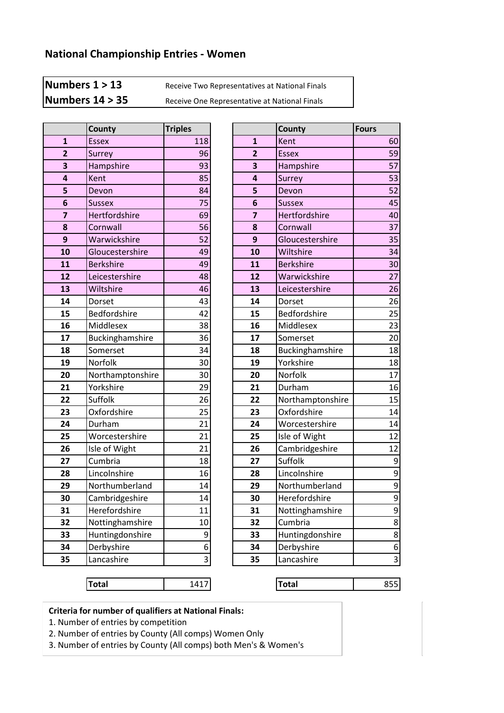**Numbers 1 > 13** Receive Two Representatives at National Finals

**Numbers 14 > 35** Receive One Representative at National Finals

|                | County           | <b>Triples</b> |
|----------------|------------------|----------------|
| $\mathbf{1}$   | <b>Essex</b>     | 118            |
| $\overline{2}$ | <b>Surrey</b>    | 96             |
| 3              | Hampshire        | 93             |
| 4              | Kent             | 85             |
| 5              | Devon            | 84             |
| 6              | <b>Sussex</b>    | 75             |
| 7              | Hertfordshire    | 69             |
| 8              | Cornwall         | 56             |
| 9              | Warwickshire     | 52             |
| 10             | Gloucestershire  | 49             |
| 11             | <b>Berkshire</b> | 49             |
| 12             | Leicestershire   | 48             |
| 13             | Wiltshire        | 46             |
| 14             | Dorset           | 43             |
| 15             | Bedfordshire     | 42             |
| 16             | Middlesex        | 38             |
| 17             | Buckinghamshire  | 36             |
| 18             | Somerset         | 34             |
| 19             | Norfolk          | 30             |
| 20             | Northamptonshire | 30             |
| 21             | Yorkshire        | 29             |
| 22             | Suffolk          | 26             |
| 23             | Oxfordshire      | 25             |
| 24             | Durham           | 21             |
| 25             | Worcestershire   | 21             |
| 26             | Isle of Wight    | 21             |
| 27             | Cumbria          | 18             |
| 28             | Lincolnshire     | 16             |
| 29             | Northumberland   | 14             |
| 30             | Cambridgeshire   | 14             |
| 31             | Herefordshire    | 11             |
| 32             | Nottinghamshire  | 10             |
| 33             | Huntingdonshire  | 9              |
| 34             | Derbyshire       | 6              |
| 35             | Lancashire       | 3              |

|                         | <b>County</b>    | <b>Triples</b> |                         | County           | <b>Fours</b>            |
|-------------------------|------------------|----------------|-------------------------|------------------|-------------------------|
| $\mathbf{1}$            | <b>Essex</b>     | 118            | $\mathbf{1}$            | Kent             | 60                      |
| $\overline{2}$          | Surrey           | 96             | $\overline{2}$          | <b>Essex</b>     | 59                      |
| $\overline{\mathbf{3}}$ | Hampshire        | 93             | 3                       | Hampshire        | 57                      |
| $\overline{\mathbf{a}}$ | Kent             | 85             | 4                       | Surrey           | 53                      |
| 5                       | Devon            | 84             | 5                       | Devon            | 52                      |
| $\boldsymbol{6}$        | <b>Sussex</b>    | 75             | 6                       | <b>Sussex</b>    | 45                      |
| $\overline{\mathbf{z}}$ | Hertfordshire    | 69             | $\overline{\mathbf{z}}$ | Hertfordshire    | 40                      |
| 8                       | Cornwall         | 56             | 8                       | Cornwall         | 37                      |
| $\mathbf{9}$            | Warwickshire     | 52             | 9                       | Gloucestershire  | 35                      |
| 10                      | Gloucestershire  | 49             | 10                      | Wiltshire        | 34                      |
| 11                      | <b>Berkshire</b> | 49             | 11                      | <b>Berkshire</b> | 30                      |
| 12                      | Leicestershire   | 48             | 12                      | Warwickshire     | 27                      |
| 13                      | Wiltshire        | 46             | 13                      | Leicestershire   | 26                      |
| 14                      | Dorset           | 43             | 14                      | Dorset           | 26                      |
| 15                      | Bedfordshire     | 42             | 15                      | Bedfordshire     | 25                      |
| 16                      | Middlesex        | 38             | 16                      | Middlesex        | 23                      |
| 17                      | Buckinghamshire  | 36             | 17                      | Somerset         | 20                      |
| 18                      | Somerset         | 34             | 18                      | Buckinghamshire  | 18                      |
| 19                      | Norfolk          | 30             | 19                      | Yorkshire        | 18                      |
| 20                      | Northamptonshire | 30             | 20                      | Norfolk          | 17                      |
| 21                      | Yorkshire        | 29             | 21                      | Durham           | 16                      |
| 22                      | Suffolk          | 26             | 22                      | Northamptonshire | 15                      |
| 23                      | Oxfordshire      | 25             | 23                      | Oxfordshire      | 14                      |
| 24                      | Durham           | 21             | 24                      | Worcestershire   | 14                      |
| 25                      | Worcestershire   | 21             | 25                      | Isle of Wight    | 12                      |
| 26                      | Isle of Wight    | 21             | 26                      | Cambridgeshire   | 12                      |
| 27                      | Cumbria          | 18             | 27                      | Suffolk          | 9                       |
| 28                      | Lincolnshire     | 16             | 28                      | Lincolnshire     | 9                       |
| 29                      | Northumberland   | 14             | 29                      | Northumberland   | $\overline{9}$          |
| 30                      | Cambridgeshire   | 14             | 30                      | Herefordshire    | $\overline{9}$          |
| 31                      | Herefordshire    | 11             | 31                      | Nottinghamshire  | 9                       |
| 32                      | Nottinghamshire  | 10             | 32                      | Cumbria          | 8                       |
| 33                      | Huntingdonshire  | 9              | 33                      | Huntingdonshire  | 8                       |
| 34                      | Derbyshire       | 6              | 34                      | Derbyshire       | 6                       |
| 35                      | Lancashire       | 3              | 35                      | Lancashire       | $\overline{\mathbf{3}}$ |

**Total** 1417 **Total** 855

**Criteria for number of qualifiers at National Finals:**

1. Number of entries by competition

2. Number of entries by County (All comps) Women Only

3. Number of entries by County (All comps) both Men's & Women's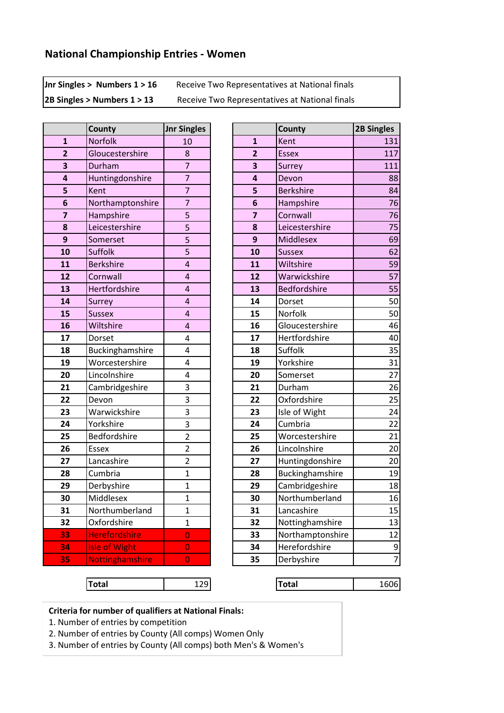**Jnr Singles > Numbers 1 > 16** Receive Two Representatives at National finals

2B Singles > Numbers 1 > 13 Receive Two Representatives at National finals

|                | County               | <b>Jnr Singles</b>      |  |
|----------------|----------------------|-------------------------|--|
| $\mathbf{1}$   | Norfolk              | 10                      |  |
| $\overline{2}$ | Gloucestershire      | 8                       |  |
| 3              | Durham               | 7                       |  |
| 4              | Huntingdonshire      | $\overline{7}$          |  |
| 5              | Kent                 | 7                       |  |
| 6              | Northamptonshire     | $\overline{7}$          |  |
| 7              | Hampshire            | 5                       |  |
| 8              | Leicestershire       | 5                       |  |
| 9              | Somerset             | 5                       |  |
| 10             | Suffolk              | 5                       |  |
| 11             | <b>Berkshire</b>     | 4                       |  |
| 12             | Cornwall             | 4                       |  |
| 13             | Hertfordshire        | $\overline{4}$          |  |
| 14             | Surrey               | 4                       |  |
| 15             | <b>Sussex</b>        | 4                       |  |
| 16             | Wiltshire            | 4                       |  |
| 17             | Dorset               | 4                       |  |
| 18             | Buckinghamshire      | 4                       |  |
| 19             | Worcestershire       | 4                       |  |
| 20             | Lincolnshire         | 4                       |  |
| 21             | Cambridgeshire       | 3                       |  |
| 22             | Devon                | 3                       |  |
| 23             | Warwickshire         | 3                       |  |
| 24             | Yorkshire            | 3                       |  |
| 25             | Bedfordshire         | $\overline{2}$          |  |
| 26             | <b>Essex</b>         | $\overline{\mathbf{c}}$ |  |
| 27             | Lancashire           | $\overline{2}$          |  |
| 28             | Cumbria              | $\overline{1}$          |  |
| 29             | Derbyshire           |                         |  |
| 30             | Middlesex            | $\overline{1}$          |  |
| 31             | Northumberland       | $\mathbf 1$             |  |
| 32             | Oxfordshire          | 1                       |  |
| 33             | <b>Herefordshire</b> | 0                       |  |
| 34             | <b>Isle of Wight</b> | 0                       |  |
| 35             | Nottinghamshire      | 0                       |  |

|                         | County               | <b>Jnr Singles</b>      |                         | <b>County</b>       | <b>2B Singles</b> |
|-------------------------|----------------------|-------------------------|-------------------------|---------------------|-------------------|
| $\mathbf{1}$            | Norfolk              | 10                      | $\mathbf{1}$            | Kent                | 131               |
| $\overline{2}$          | Gloucestershire      | 8                       | $\overline{2}$          | <b>Essex</b>        | 117               |
| $\overline{\mathbf{3}}$ | Durham               | $\overline{7}$          | 3                       | Surrey              | 111               |
| $\overline{\mathbf{4}}$ | Huntingdonshire      | $\overline{7}$          | $\overline{\mathbf{4}}$ | Devon               | 88                |
| 5                       | Kent                 | $\overline{7}$          | 5                       | <b>Berkshire</b>    | 84                |
| $6\phantom{1}6$         | Northamptonshire     | $\overline{7}$          | $6\phantom{1}6$         | Hampshire           | 76                |
|                         | Hampshire            | 5                       | $\overline{\mathbf{z}}$ | Cornwall            | 76                |
| 8                       | Leicestershire       | 5                       | 8                       | Leicestershire      | 75                |
| $\boldsymbol{9}$        | Somerset             | 5                       | 9                       | Middlesex           | 69                |
| 10                      | Suffolk              | 5                       | 10                      | <b>Sussex</b>       | 62                |
| 11                      | <b>Berkshire</b>     | $\overline{\mathbf{r}}$ | 11                      | Wiltshire           | 59                |
| 12                      | Cornwall             | $\overline{4}$          | 12                      | Warwickshire        | 57                |
| 13                      | Hertfordshire        | $\overline{4}$          | 13                      | <b>Bedfordshire</b> | 55                |
| 14                      | Surrey               | $\overline{4}$          | 14                      | Dorset              | 50                |
| 15                      | <b>Sussex</b>        | $\overline{4}$          | 15                      | Norfolk             | 50                |
| 16                      | Wiltshire            | $\overline{a}$          | 16                      | Gloucestershire     | 46                |
| 17                      | Dorset               | 4                       | 17                      | Hertfordshire       | 40                |
| 18                      | Buckinghamshire      | 4                       | 18                      | Suffolk             | 35                |
| 19                      | Worcestershire       | 4                       | 19                      | Yorkshire           | 31                |
| 20                      | Lincolnshire         | 4                       | 20                      | Somerset            | 27                |
| 21                      | Cambridgeshire       | 3                       | 21                      | Durham              | 26                |
| 22                      | Devon                | 3                       | 22                      | Oxfordshire         | 25                |
| 23                      | Warwickshire         | 3                       | 23                      | Isle of Wight       | 24                |
| 24                      | Yorkshire            | 3                       | 24                      | Cumbria             | 22                |
| 25                      | Bedfordshire         | $\overline{2}$          | 25                      | Worcestershire      | 21                |
| 26                      | <b>Essex</b>         | $\overline{2}$          | 26                      | Lincolnshire        | 20                |
| 27                      | Lancashire           | $\overline{2}$          | 27                      | Huntingdonshire     | 20                |
| 28                      | Cumbria              | $\mathbf{1}$            | 28                      | Buckinghamshire     | 19                |
| 29                      | Derbyshire           | $\mathbf{1}$            | 29                      | Cambridgeshire      | 18                |
| 30                      | Middlesex            | $\mathbf{1}$            | 30                      | Northumberland      | 16                |
| 31                      | Northumberland       | $\mathbf{1}$            | 31                      | Lancashire          | 15                |
| 32                      | Oxfordshire          | $\mathbf{1}$            | 32                      | Nottinghamshire     | 13                |
| 33                      | <b>Herefordshire</b> | $\overline{0}$          | 33                      | Northamptonshire    | 12                |
| 34                      | <b>Isle of Wight</b> | $\overline{0}$          | 34                      | Herefordshire       | 9                 |
| 35                      | Nottinghamshire      | 0                       | 35                      | Derbyshire          | $\overline{7}$    |

**Total** 129 **Total** 1606

**Criteria for number of qualifiers at National Finals:**

1. Number of entries by competition

2. Number of entries by County (All comps) Women Only

3. Number of entries by County (All comps) both Men's & Women's